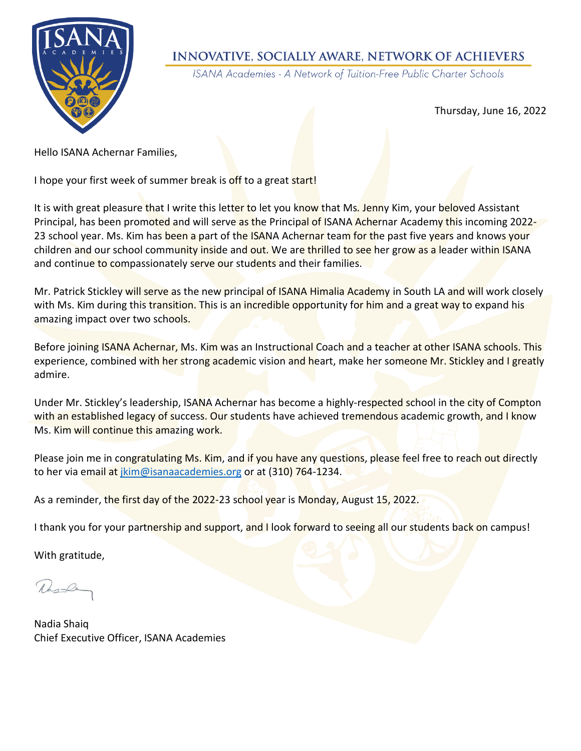

## **INNOVATIVE, SOCIALLY AWARE, NETWORK OF ACHIEVERS**

ISANA Academies - A Network of Tuition-Free Public Charter Schools

Thursday, June 16, 2022

Hello ISANA Achernar Families,

I hope your first week of summer break is off to a great start!

It is with great pleasure that I write this letter to let you know that Ms. Jenny Kim, your beloved Assistant Principal, has been promoted and will serve as the Principal of ISANA Achernar Academy this incoming 2022- 23 school year. Ms. Kim has been a part of the ISANA Achernar team for the past five years and knows your children and our school community inside and out. We are thrilled to see her grow as a leader within ISANA and continue to compassionately serve our students and their families.

Mr. Patrick Stickley will serve as the new principal of ISANA Himalia Academy in South LA and will work closely with Ms. Kim during this transition. This is an incredible opportunity for him and a great way to expand his amazing impact over two schools.

Before joining ISANA Achernar, Ms. Kim was an Instructional Coach and a teacher at other ISANA schools. This experience, combined with her strong academic vision and heart, make her someone Mr. Stickley and I greatly admire.

Under Mr. Stickley's leadership, ISANA Achernar has become a highly-respected school in the city of Compton with an established legacy of success. Our students have achieved tremendous academic growth, and I know Ms. Kim will continue this amazing work.

Please join me in congratulating Ms. Kim, and if you have any questions, please feel free to reach out directly to her via email at [jkim@isanaacademies.org](mailto:jkim@isanaacademies.org) or at (310) 764-1234.

As a reminder, the first day of the 2022-23 school year is Monday, August 15, 2022.

I thank you for your partnership and support, and I look forward to seeing all our students back on campus!

With gratitude,

Rusk

Nadia Shaiq Chief Executive Officer, ISANA Academies